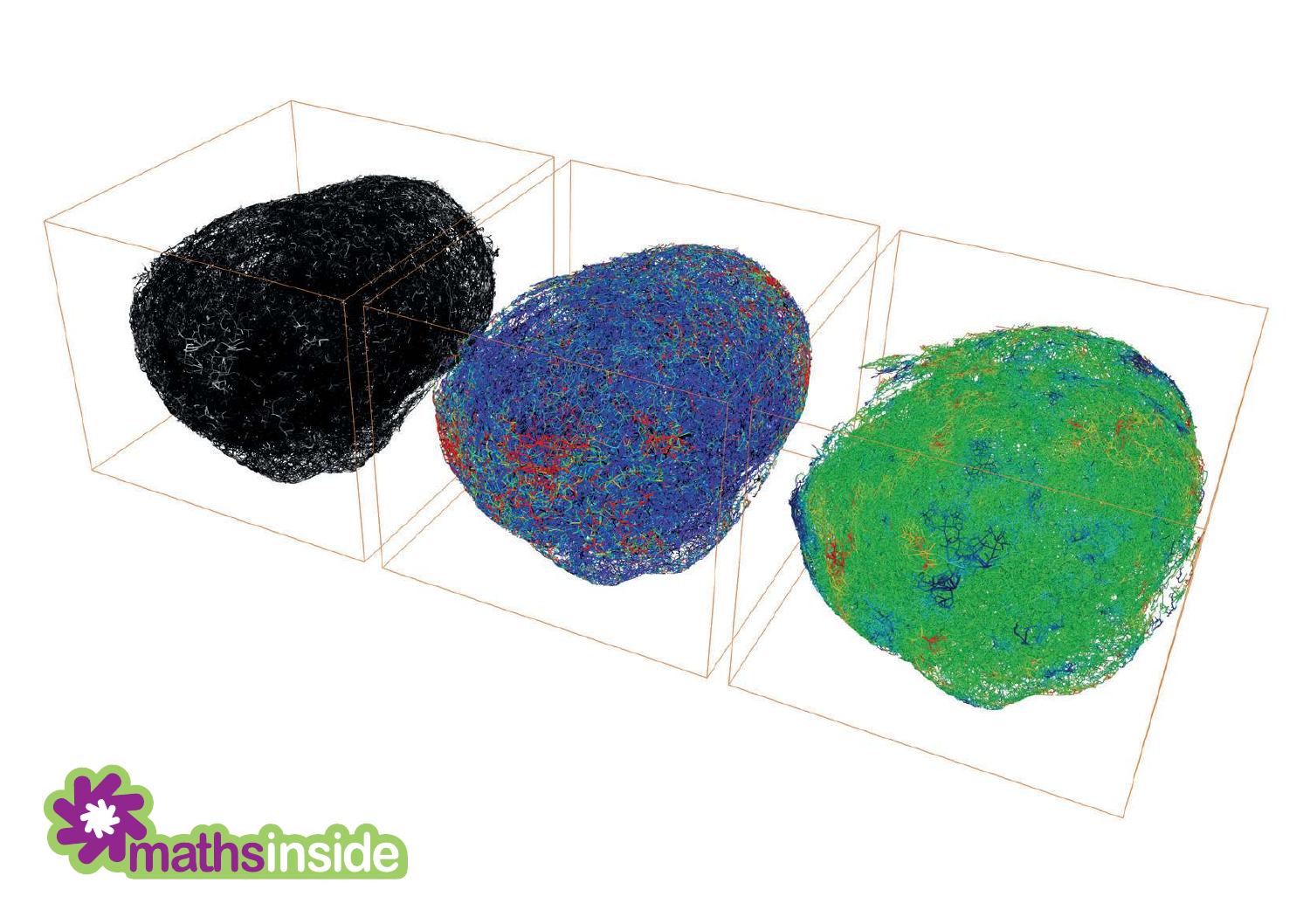